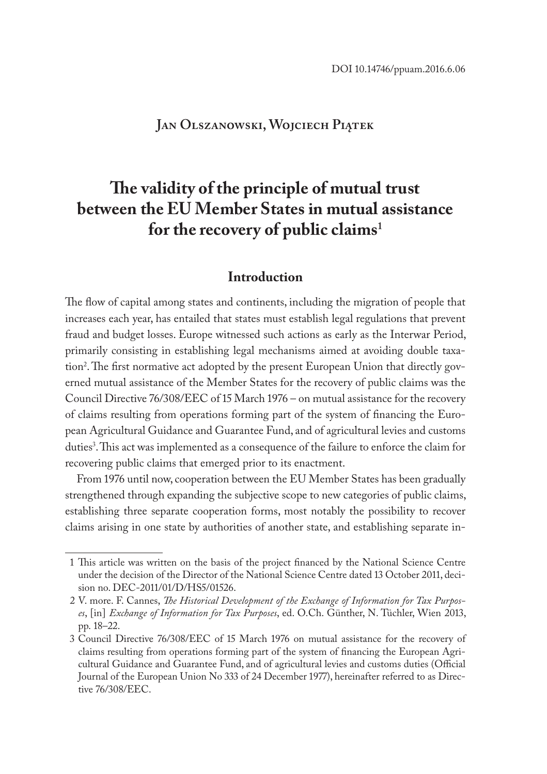# **Jan Olszanowski, Wojciech Piątek**

# **The validity of the principle of mutual trust between the EU Member States in mutual assistance for the recovery of public claims<sup>1</sup>**

## **Introduction**

The flow of capital among states and continents, including the migration of people that increases each year, has entailed that states must establish legal regulations that prevent fraud and budget losses. Europe witnessed such actions as early as the Interwar Period, primarily consisting in establishing legal mechanisms aimed at avoiding double taxation2 . The first normative act adopted by the present European Union that directly governed mutual assistance of the Member States for the recovery of public claims was the Council Directive 76/308/EEC of 15 March 1976 – on mutual assistance for the recovery of claims resulting from operations forming part of the system of financing the European Agricultural Guidance and Guarantee Fund, and of agricultural levies and customs duties<sup>3</sup>. This act was implemented as a consequence of the failure to enforce the claim for recovering public claims that emerged prior to its enactment.

From 1976 until now, cooperation between the EU Member States has been gradually strengthened through expanding the subjective scope to new categories of public claims, establishing three separate cooperation forms, most notably the possibility to recover claims arising in one state by authorities of another state, and establishing separate in-

<sup>1</sup> This article was written on the basis of the project financed by the National Science Centre under the decision of the Director of the National Science Centre dated 13 October 2011, decision no. DEC-2011/01/D/HS5/01526.

<sup>2</sup> V. more. F. Cannes, *The Historical Development of the Exchange of Information for Tax Purposes*, [in] *Exchange of Information for Tax Purposes*, ed. O.Ch. Günther, N. Tüchler, Wien 2013, pp. 18–22.

<sup>3</sup> Council Directive 76/308/EEC of 15 March 1976 on mutual assistance for the recovery of claims resulting from operations forming part of the system of financing the European Agricultural Guidance and Guarantee Fund, and of agricultural levies and customs duties (Official Journal of the European Union No 333 of 24 December 1977), hereinafter referred to as Directive 76/308/EEC.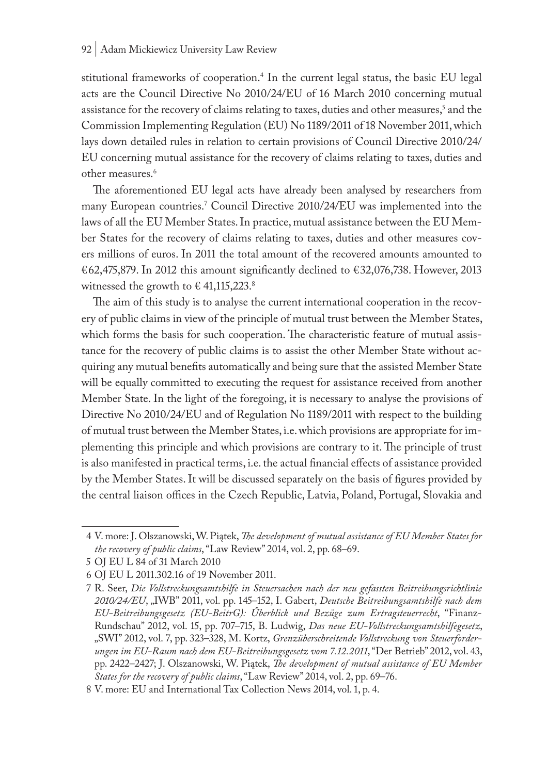stitutional frameworks of cooperation.4 In the current legal status, the basic EU legal acts are the Council Directive No 2010/24/EU of 16 March 2010 concerning mutual assistance for the recovery of claims relating to taxes, duties and other measures,' and the Commission Implementing Regulation (EU) No 1189/2011 of 18 November 2011, which lays down detailed rules in relation to certain provisions of Council Directive 2010/24/ EU concerning mutual assistance for the recovery of claims relating to taxes, duties and other measures.<sup>6</sup>

The aforementioned EU legal acts have already been analysed by researchers from many European countries.7 Council Directive 2010/24/EU was implemented into the laws of all the EU Member States. In practice, mutual assistance between the EU Member States for the recovery of claims relating to taxes, duties and other measures covers millions of euros. In 2011 the total amount of the recovered amounts amounted to €62,475,879. In 2012 this amount significantly declined to €32,076,738. However, 2013 witnessed the growth to  $\in$  41,115,223.8

The aim of this study is to analyse the current international cooperation in the recovery of public claims in view of the principle of mutual trust between the Member States, which forms the basis for such cooperation. The characteristic feature of mutual assistance for the recovery of public claims is to assist the other Member State without acquiring any mutual benefits automatically and being sure that the assisted Member State will be equally committed to executing the request for assistance received from another Member State. In the light of the foregoing, it is necessary to analyse the provisions of Directive No 2010/24/EU and of Regulation No 1189/2011 with respect to the building of mutual trust between the Member States, i.e. which provisions are appropriate for implementing this principle and which provisions are contrary to it. The principle of trust is also manifested in practical terms, i.e. the actual financial effects of assistance provided by the Member States. It will be discussed separately on the basis of figures provided by the central liaison offices in the Czech Republic, Latvia, Poland, Portugal, Slovakia and

<sup>4</sup> V. more: J. Olszanowski, W. Piątek, *The development of mutual assistance of EU Member States for the recovery of public claims*, "Law Review" 2014, vol. 2, pp. 68–69.

<sup>5</sup> OJ EU L 84 of 31 March 2010

<sup>6</sup> OJ EU L 2011.302.16 of 19 November 2011.

<sup>7</sup> R. Seer, *Die Vollstreckungsamtshilfe in Steuersachen nach der neu gefassten Beitreibungsrichtlinie 2010/24/EU*, "IWB" 2011, vol. pp. 145–152, I. Gabert, *Deutsche Beitreibungsamtshilfe nach dem EU-Beitreibungsgesetz (EU-BeitrG): Űberblick und Bezüge zum Ertragsteuerrecht*, "Finanz-Rundschau" 2012, vol. 15, pp. 707–715, B. Ludwig, *Das neue EU-Vollstreckungsamtshilfegesetz*, "SWI" 2012, vol. 7, pp. 323–328, M. Kortz, *Grenzüberschreitende Vollstreckung von Steuerforderungen im EU-Raum nach dem EU-Beitreibungsgesetz vom 7.12.2011*, "Der Betrieb" 2012, vol. 43, pp. 2422–2427; J. Olszanowski, W. Piątek, *The development of mutual assistance of EU Member States for the recovery of public claims*, "Law Review" 2014, vol. 2, pp. 69–76.

<sup>8</sup> V. more: EU and International Tax Collection News 2014, vol. 1, p. 4.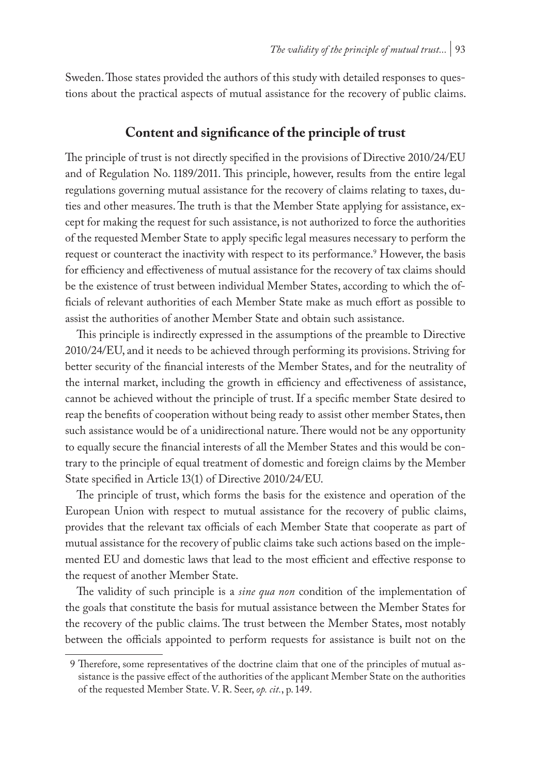Sweden. Those states provided the authors of this study with detailed responses to questions about the practical aspects of mutual assistance for the recovery of public claims.

# **Content and significance of the principle of trust**

The principle of trust is not directly specified in the provisions of Directive 2010/24/EU and of Regulation No. 1189/2011. This principle, however, results from the entire legal regulations governing mutual assistance for the recovery of claims relating to taxes, duties and other measures. The truth is that the Member State applying for assistance, except for making the request for such assistance, is not authorized to force the authorities of the requested Member State to apply specific legal measures necessary to perform the request or counteract the inactivity with respect to its performance.<sup>9</sup> However, the basis for efficiency and effectiveness of mutual assistance for the recovery of tax claims should be the existence of trust between individual Member States, according to which the officials of relevant authorities of each Member State make as much effort as possible to assist the authorities of another Member State and obtain such assistance.

This principle is indirectly expressed in the assumptions of the preamble to Directive 2010/24/EU, and it needs to be achieved through performing its provisions. Striving for better security of the financial interests of the Member States, and for the neutrality of the internal market, including the growth in efficiency and effectiveness of assistance, cannot be achieved without the principle of trust. If a specific member State desired to reap the benefits of cooperation without being ready to assist other member States, then such assistance would be of a unidirectional nature. There would not be any opportunity to equally secure the financial interests of all the Member States and this would be contrary to the principle of equal treatment of domestic and foreign claims by the Member State specified in Article 13(1) of Directive 2010/24/EU.

The principle of trust, which forms the basis for the existence and operation of the European Union with respect to mutual assistance for the recovery of public claims, provides that the relevant tax officials of each Member State that cooperate as part of mutual assistance for the recovery of public claims take such actions based on the implemented EU and domestic laws that lead to the most efficient and effective response to the request of another Member State.

The validity of such principle is a *sine qua non* condition of the implementation of the goals that constitute the basis for mutual assistance between the Member States for the recovery of the public claims. The trust between the Member States, most notably between the officials appointed to perform requests for assistance is built not on the

<sup>9</sup> Therefore, some representatives of the doctrine claim that one of the principles of mutual assistance is the passive effect of the authorities of the applicant Member State on the authorities of the requested Member State. V. R. Seer, *op. cit.*, p. 149.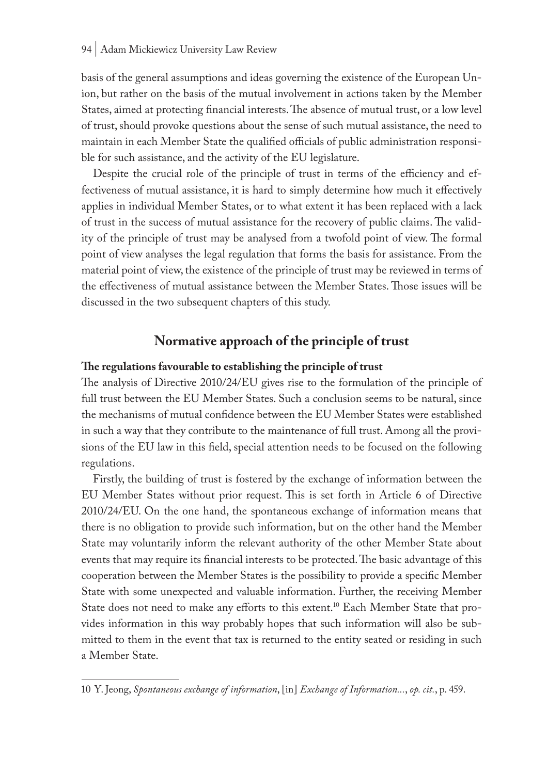#### 94 | Adam Mickiewicz University Law Review

basis of the general assumptions and ideas governing the existence of the European Union, but rather on the basis of the mutual involvement in actions taken by the Member States, aimed at protecting financial interests. The absence of mutual trust, or a low level of trust, should provoke questions about the sense of such mutual assistance, the need to maintain in each Member State the qualified officials of public administration responsible for such assistance, and the activity of the EU legislature.

Despite the crucial role of the principle of trust in terms of the efficiency and effectiveness of mutual assistance, it is hard to simply determine how much it effectively applies in individual Member States, or to what extent it has been replaced with a lack of trust in the success of mutual assistance for the recovery of public claims. The validity of the principle of trust may be analysed from a twofold point of view. The formal point of view analyses the legal regulation that forms the basis for assistance. From the material point of view, the existence of the principle of trust may be reviewed in terms of the effectiveness of mutual assistance between the Member States. Those issues will be discussed in the two subsequent chapters of this study.

# **Normative approach of the principle of trust**

#### **The regulations favourable to establishing the principle of trust**

The analysis of Directive 2010/24/EU gives rise to the formulation of the principle of full trust between the EU Member States. Such a conclusion seems to be natural, since the mechanisms of mutual confidence between the EU Member States were established in such a way that they contribute to the maintenance of full trust. Among all the provisions of the EU law in this field, special attention needs to be focused on the following regulations.

Firstly, the building of trust is fostered by the exchange of information between the EU Member States without prior request. This is set forth in Article 6 of Directive 2010/24/EU. On the one hand, the spontaneous exchange of information means that there is no obligation to provide such information, but on the other hand the Member State may voluntarily inform the relevant authority of the other Member State about events that may require its financial interests to be protected. The basic advantage of this cooperation between the Member States is the possibility to provide a specific Member State with some unexpected and valuable information. Further, the receiving Member State does not need to make any efforts to this extent.<sup>10</sup> Each Member State that provides information in this way probably hopes that such information will also be submitted to them in the event that tax is returned to the entity seated or residing in such a Member State.

<sup>10</sup> Y. Jeong, *Spontaneous exchange of information*, [in] *Exchange of Information...*, *op. cit.*, p. 459.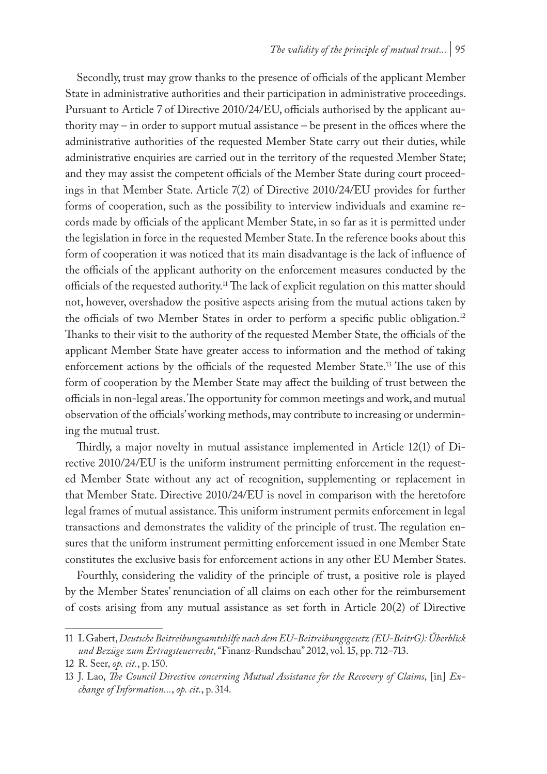Secondly, trust may grow thanks to the presence of officials of the applicant Member State in administrative authorities and their participation in administrative proceedings. Pursuant to Article 7 of Directive 2010/24/EU, officials authorised by the applicant authority may – in order to support mutual assistance – be present in the offices where the administrative authorities of the requested Member State carry out their duties, while administrative enquiries are carried out in the territory of the requested Member State; and they may assist the competent officials of the Member State during court proceedings in that Member State. Article 7(2) of Directive 2010/24/EU provides for further forms of cooperation, such as the possibility to interview individuals and examine records made by officials of the applicant Member State, in so far as it is permitted under the legislation in force in the requested Member State. In the reference books about this form of cooperation it was noticed that its main disadvantage is the lack of influence of the officials of the applicant authority on the enforcement measures conducted by the officials of the requested authority.11 The lack of explicit regulation on this matter should not, however, overshadow the positive aspects arising from the mutual actions taken by the officials of two Member States in order to perform a specific public obligation.<sup>12</sup> Thanks to their visit to the authority of the requested Member State, the officials of the applicant Member State have greater access to information and the method of taking enforcement actions by the officials of the requested Member State.13 The use of this form of cooperation by the Member State may affect the building of trust between the officials in non-legal areas. The opportunity for common meetings and work, and mutual observation of the officials' working methods, may contribute to increasing or undermining the mutual trust.

Thirdly, a major novelty in mutual assistance implemented in Article 12(1) of Directive 2010/24/EU is the uniform instrument permitting enforcement in the requested Member State without any act of recognition, supplementing or replacement in that Member State. Directive 2010/24/EU is novel in comparison with the heretofore legal frames of mutual assistance. This uniform instrument permits enforcement in legal transactions and demonstrates the validity of the principle of trust. The regulation ensures that the uniform instrument permitting enforcement issued in one Member State constitutes the exclusive basis for enforcement actions in any other EU Member States.

Fourthly, considering the validity of the principle of trust, a positive role is played by the Member States' renunciation of all claims on each other for the reimbursement of costs arising from any mutual assistance as set forth in Article 20(2) of Directive

<sup>11</sup> I. Gabert, *Deutsche Beitreibungsamtshilfe nach dem EU-Beitreibungsgesetz (EU-BeitrG): Űberblick und Bezüge zum Ertragsteuerrecht*, "Finanz-Rundschau" 2012, vol. 15, pp. 712–713.

<sup>12</sup> R. Seer, *op. cit.*, p. 150.

<sup>13</sup> J. Lao, *The Council Directive concerning Mutual Assistance for the Recovery of Claims*, [in] *Exchange of Information...*, *op. cit.*, p. 314.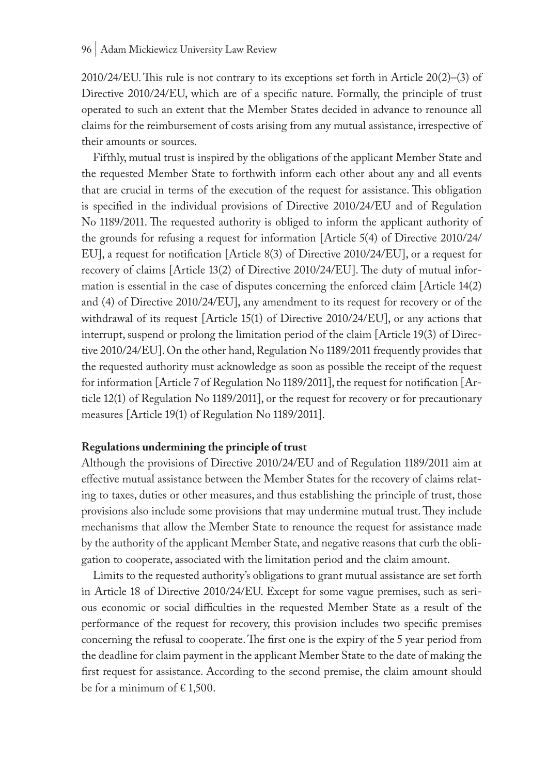$2010/24/EU$ . This rule is not contrary to its exceptions set forth in Article  $20(2)$ –(3) of Directive 2010/24/EU, which are of a specific nature. Formally, the principle of trust operated to such an extent that the Member States decided in advance to renounce all claims for the reimbursement of costs arising from any mutual assistance, irrespective of their amounts or sources.

Fifthly, mutual trust is inspired by the obligations of the applicant Member State and the requested Member State to forthwith inform each other about any and all events that are crucial in terms of the execution of the request for assistance. This obligation is specified in the individual provisions of Directive 2010/24/EU and of Regulation No 1189/2011. The requested authority is obliged to inform the applicant authority of the grounds for refusing a request for information [Article 5(4) of Directive 2010/24/ EU], a request for notification [Article 8(3) of Directive 2010/24/EU], or a request for recovery of claims [Article 13(2) of Directive 2010/24/EU]. The duty of mutual information is essential in the case of disputes concerning the enforced claim [Article 14(2) and (4) of Directive 2010/24/EU], any amendment to its request for recovery or of the withdrawal of its request [Article 15(1) of Directive 2010/24/EU], or any actions that interrupt, suspend or prolong the limitation period of the claim [Article 19(3) of Directive 2010/24/EU]. On the other hand, Regulation No 1189/2011 frequently provides that the requested authority must acknowledge as soon as possible the receipt of the request for information [Article 7 of Regulation No 1189/2011], the request for notification [Article 12(1) of Regulation No 1189/2011], or the request for recovery or for precautionary measures [Article 19(1) of Regulation No 1189/2011].

#### **Regulations undermining the principle of trust**

Although the provisions of Directive 2010/24/EU and of Regulation 1189/2011 aim at effective mutual assistance between the Member States for the recovery of claims relating to taxes, duties or other measures, and thus establishing the principle of trust, those provisions also include some provisions that may undermine mutual trust. They include mechanisms that allow the Member State to renounce the request for assistance made by the authority of the applicant Member State, and negative reasons that curb the obligation to cooperate, associated with the limitation period and the claim amount.

Limits to the requested authority's obligations to grant mutual assistance are set forth in Article 18 of Directive 2010/24/EU. Except for some vague premises, such as serious economic or social difficulties in the requested Member State as a result of the performance of the request for recovery, this provision includes two specific premises concerning the refusal to cooperate. The first one is the expiry of the 5 year period from the deadline for claim payment in the applicant Member State to the date of making the first request for assistance. According to the second premise, the claim amount should be for a minimum of  $\in$  1,500.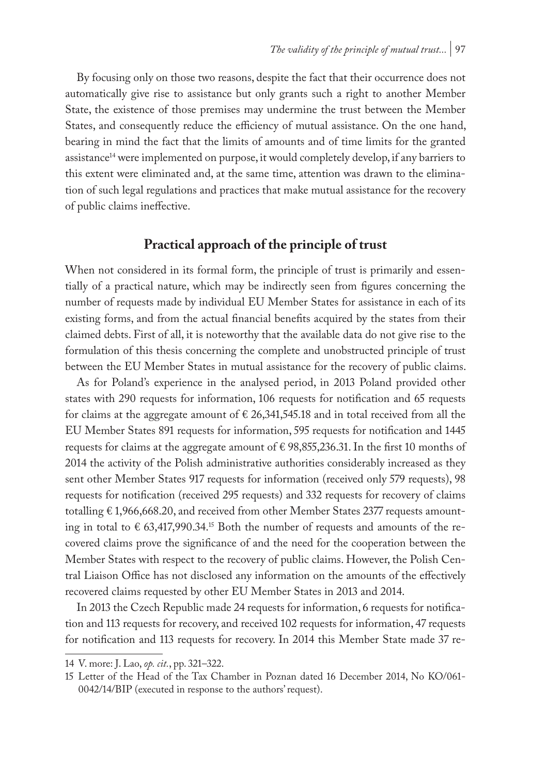By focusing only on those two reasons, despite the fact that their occurrence does not automatically give rise to assistance but only grants such a right to another Member State, the existence of those premises may undermine the trust between the Member States, and consequently reduce the efficiency of mutual assistance. On the one hand, bearing in mind the fact that the limits of amounts and of time limits for the granted assistance<sup>14</sup> were implemented on purpose, it would completely develop, if any barriers to this extent were eliminated and, at the same time, attention was drawn to the elimination of such legal regulations and practices that make mutual assistance for the recovery of public claims ineffective.

# **Practical approach of the principle of trust**

When not considered in its formal form, the principle of trust is primarily and essentially of a practical nature, which may be indirectly seen from figures concerning the number of requests made by individual EU Member States for assistance in each of its existing forms, and from the actual financial benefits acquired by the states from their claimed debts. First of all, it is noteworthy that the available data do not give rise to the formulation of this thesis concerning the complete and unobstructed principle of trust between the EU Member States in mutual assistance for the recovery of public claims.

As for Poland's experience in the analysed period, in 2013 Poland provided other states with 290 requests for information, 106 requests for notification and 65 requests for claims at the aggregate amount of  $\epsilon$  26,341,545.18 and in total received from all the EU Member States 891 requests for information, 595 requests for notification and 1445 requests for claims at the aggregate amount of  $\epsilon$  98,855,236.31. In the first 10 months of 2014 the activity of the Polish administrative authorities considerably increased as they sent other Member States 917 requests for information (received only 579 requests), 98 requests for notification (received 295 requests) and 332 requests for recovery of claims totalling  $\epsilon$  1,966,668.20, and received from other Member States 2377 requests amounting in total to  $\epsilon$  63,417,990.34.<sup>15</sup> Both the number of requests and amounts of the recovered claims prove the significance of and the need for the cooperation between the Member States with respect to the recovery of public claims. However, the Polish Central Liaison Office has not disclosed any information on the amounts of the effectively recovered claims requested by other EU Member States in 2013 and 2014.

In 2013 the Czech Republic made 24 requests for information, 6 requests for notification and 113 requests for recovery, and received 102 requests for information, 47 requests for notification and 113 requests for recovery. In 2014 this Member State made 37 re-

<sup>14</sup> V. more: J. Lao, *op. cit.*, pp. 321–322.

<sup>15</sup> Letter of the Head of the Tax Chamber in Poznan dated 16 December 2014, No KO/061- 0042/14/BIP (executed in response to the authors' request).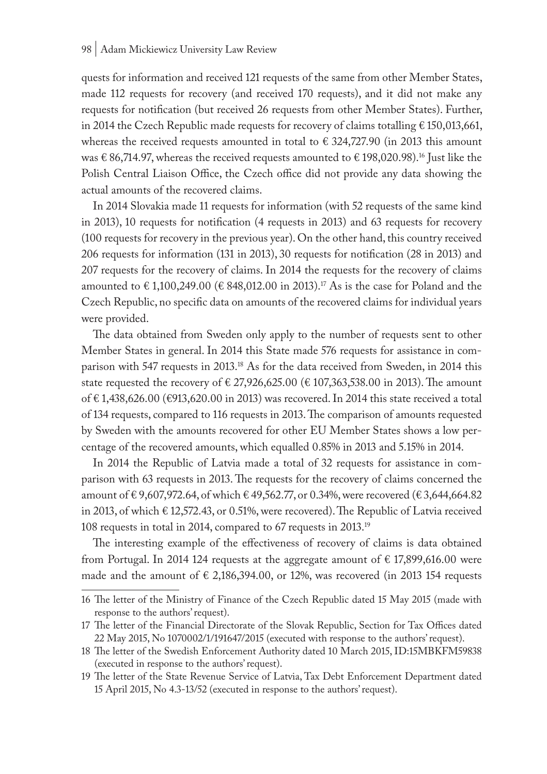quests for information and received 121 requests of the same from other Member States, made 112 requests for recovery (and received 170 requests), and it did not make any requests for notification (but received 26 requests from other Member States). Further, in 2014 the Czech Republic made requests for recovery of claims totalling € 150,013,661, whereas the received requests amounted in total to  $\epsilon$  324,727.90 (in 2013 this amount was  $\in$  86,714.97, whereas the received requests amounted to  $\in$  198,020.98).<sup>16</sup> Just like the Polish Central Liaison Office, the Czech office did not provide any data showing the actual amounts of the recovered claims.

In 2014 Slovakia made 11 requests for information (with 52 requests of the same kind in 2013), 10 requests for notification (4 requests in 2013) and 63 requests for recovery (100 requests for recovery in the previous year). On the other hand, this country received 206 requests for information (131 in 2013), 30 requests for notification (28 in 2013) and 207 requests for the recovery of claims. In 2014 the requests for the recovery of claims amounted to € 1,100,249.00 (€ 848,012.00 in 2013).<sup>17</sup> As is the case for Poland and the Czech Republic, no specific data on amounts of the recovered claims for individual years were provided.

The data obtained from Sweden only apply to the number of requests sent to other Member States in general. In 2014 this State made 576 requests for assistance in comparison with 547 requests in 2013.18 As for the data received from Sweden, in 2014 this state requested the recovery of  $\epsilon$  27,926,625.00 ( $\epsilon$  107,363,538.00 in 2013). The amount of € 1,438,626.00 (€913,620.00 in 2013) was recovered. In 2014 this state received a total of 134 requests, compared to 116 requests in 2013. The comparison of amounts requested by Sweden with the amounts recovered for other EU Member States shows a low percentage of the recovered amounts, which equalled 0.85% in 2013 and 5.15% in 2014.

In 2014 the Republic of Latvia made a total of 32 requests for assistance in comparison with 63 requests in 2013. The requests for the recovery of claims concerned the amount of € 9,607,972.64, of which € 49,562.77, or 0.34%, were recovered (€ 3,644,664.82 in 2013, of which € 12,572.43, or 0.51%, were recovered). The Republic of Latvia received 108 requests in total in 2014, compared to 67 requests in 2013.19

The interesting example of the effectiveness of recovery of claims is data obtained from Portugal. In 2014 124 requests at the aggregate amount of  $\epsilon$  17,899,616.00 were made and the amount of  $\epsilon$  2,186,394.00, or 12%, was recovered (in 2013 154 requests

<sup>16</sup> The letter of the Ministry of Finance of the Czech Republic dated 15 May 2015 (made with response to the authors' request).

<sup>17</sup> The letter of the Financial Directorate of the Slovak Republic, Section for Tax Offices dated 22 May 2015, No 1070002/1/191647/2015 (executed with response to the authors' request).

<sup>18</sup> The letter of the Swedish Enforcement Authority dated 10 March 2015, ID:15MBKFM59838 (executed in response to the authors' request).

<sup>19</sup> The letter of the State Revenue Service of Latvia, Tax Debt Enforcement Department dated 15 April 2015, No 4.3-13/52 (executed in response to the authors' request).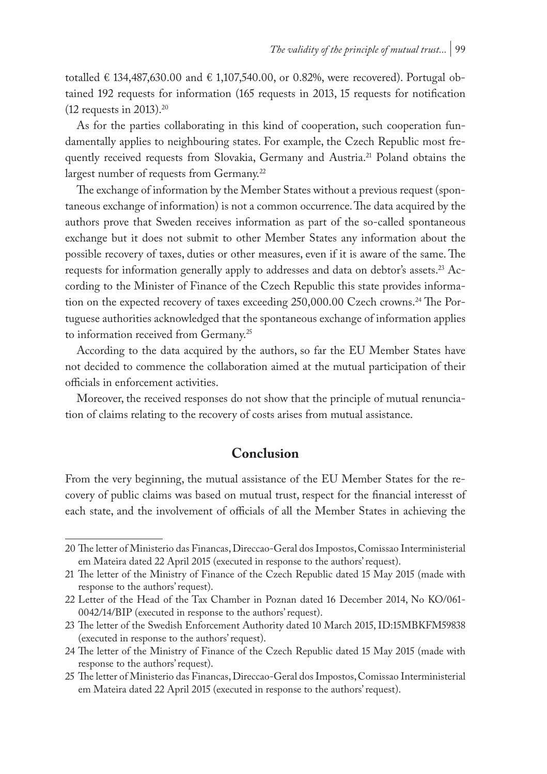totalled € 134,487,630.00 and € 1,107,540.00, or 0.82%, were recovered). Portugal obtained 192 requests for information (165 requests in 2013, 15 requests for notification  $(12 \text{ requests in } 2013).^{20}$ 

As for the parties collaborating in this kind of cooperation, such cooperation fundamentally applies to neighbouring states. For example, the Czech Republic most frequently received requests from Slovakia, Germany and Austria.<sup>21</sup> Poland obtains the largest number of requests from Germany.<sup>22</sup>

The exchange of information by the Member States without a previous request (spontaneous exchange of information) is not a common occurrence. The data acquired by the authors prove that Sweden receives information as part of the so-called spontaneous exchange but it does not submit to other Member States any information about the possible recovery of taxes, duties or other measures, even if it is aware of the same. The requests for information generally apply to addresses and data on debtor's assets.23 According to the Minister of Finance of the Czech Republic this state provides information on the expected recovery of taxes exceeding 250,000.00 Czech crowns.<sup>24</sup> The Portuguese authorities acknowledged that the spontaneous exchange of information applies to information received from Germany.<sup>25</sup>

According to the data acquired by the authors, so far the EU Member States have not decided to commence the collaboration aimed at the mutual participation of their officials in enforcement activities.

Moreover, the received responses do not show that the principle of mutual renunciation of claims relating to the recovery of costs arises from mutual assistance.

# **Conclusion**

From the very beginning, the mutual assistance of the EU Member States for the recovery of public claims was based on mutual trust, respect for the financial interesst of each state, and the involvement of officials of all the Member States in achieving the

<sup>20</sup> The letter of Ministerio das Financas, Direccao-Geral dos Impostos, Comissao Interministerial em Mateira dated 22 April 2015 (executed in response to the authors' request).

<sup>21</sup> The letter of the Ministry of Finance of the Czech Republic dated 15 May 2015 (made with response to the authors' request).

<sup>22</sup> Letter of the Head of the Tax Chamber in Poznan dated 16 December 2014, No KO/061- 0042/14/BIP (executed in response to the authors' request).

<sup>23</sup> The letter of the Swedish Enforcement Authority dated 10 March 2015, ID:15MBKFM59838 (executed in response to the authors' request).

<sup>24</sup> The letter of the Ministry of Finance of the Czech Republic dated 15 May 2015 (made with response to the authors' request).

<sup>25</sup> The letter of Ministerio das Financas, Direccao-Geral dos Impostos, Comissao Interministerial em Mateira dated 22 April 2015 (executed in response to the authors' request).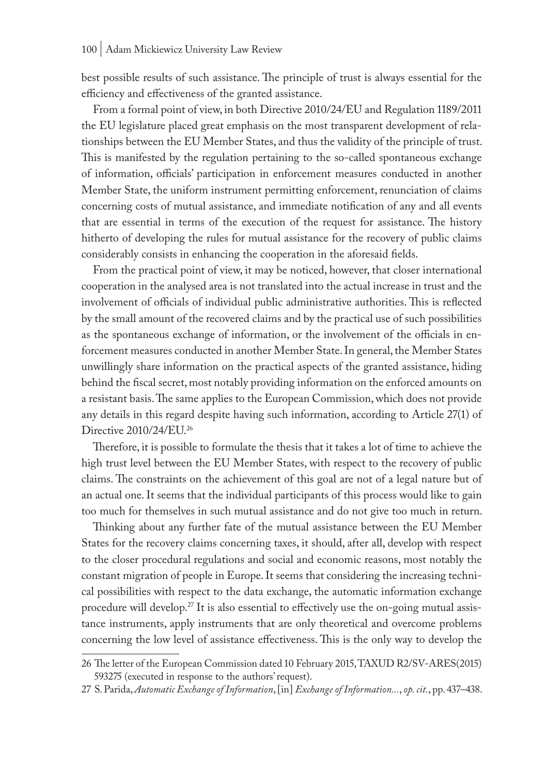best possible results of such assistance. The principle of trust is always essential for the efficiency and effectiveness of the granted assistance.

From a formal point of view, in both Directive 2010/24/EU and Regulation 1189/2011 the EU legislature placed great emphasis on the most transparent development of relationships between the EU Member States, and thus the validity of the principle of trust. This is manifested by the regulation pertaining to the so-called spontaneous exchange of information, officials' participation in enforcement measures conducted in another Member State, the uniform instrument permitting enforcement, renunciation of claims concerning costs of mutual assistance, and immediate notification of any and all events that are essential in terms of the execution of the request for assistance. The history hitherto of developing the rules for mutual assistance for the recovery of public claims considerably consists in enhancing the cooperation in the aforesaid fields.

From the practical point of view, it may be noticed, however, that closer international cooperation in the analysed area is not translated into the actual increase in trust and the involvement of officials of individual public administrative authorities. This is reflected by the small amount of the recovered claims and by the practical use of such possibilities as the spontaneous exchange of information, or the involvement of the officials in enforcement measures conducted in another Member State. In general, the Member States unwillingly share information on the practical aspects of the granted assistance, hiding behind the fiscal secret, most notably providing information on the enforced amounts on a resistant basis. The same applies to the European Commission, which does not provide any details in this regard despite having such information, according to Article 27(1) of Directive 2010/24/EU.26

Therefore, it is possible to formulate the thesis that it takes a lot of time to achieve the high trust level between the EU Member States, with respect to the recovery of public claims. The constraints on the achievement of this goal are not of a legal nature but of an actual one. It seems that the individual participants of this process would like to gain too much for themselves in such mutual assistance and do not give too much in return.

Thinking about any further fate of the mutual assistance between the EU Member States for the recovery claims concerning taxes, it should, after all, develop with respect to the closer procedural regulations and social and economic reasons, most notably the constant migration of people in Europe. It seems that considering the increasing technical possibilities with respect to the data exchange, the automatic information exchange procedure will develop.<sup>27</sup> It is also essential to effectively use the on-going mutual assistance instruments, apply instruments that are only theoretical and overcome problems concerning the low level of assistance effectiveness. This is the only way to develop the

<sup>26</sup> The letter of the European Commission dated 10 February 2015, TAXUD R2/SV-ARES(2015) 593275 (executed in response to the authors' request).

<sup>27</sup> S. Parida, *Automatic Exchange of Information*, [in] *Exchange of Information...*, *op. cit.*, pp. 437–438.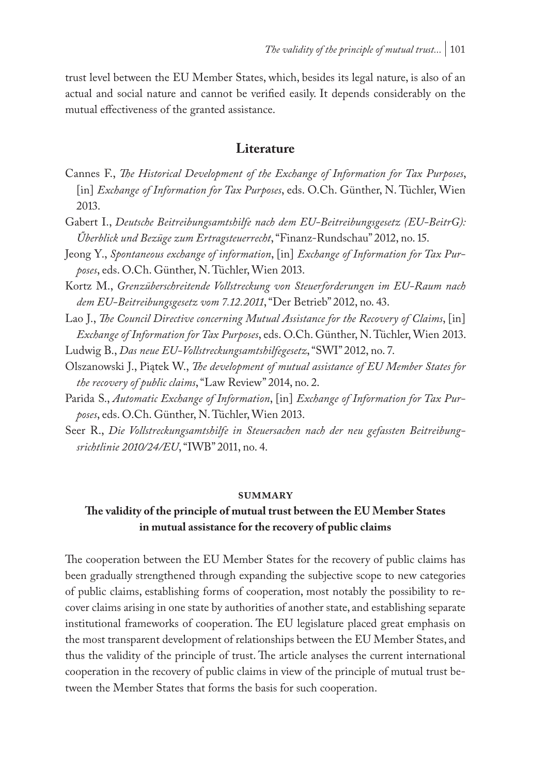trust level between the EU Member States, which, besides its legal nature, is also of an actual and social nature and cannot be verified easily. It depends considerably on the mutual effectiveness of the granted assistance.

#### **Literature**

- Cannes F., *The Historical Development of the Exchange of Information for Tax Purposes*, [in] *Exchange of Information for Tax Purposes*, eds. O.Ch. Günther, N. Tüchler, Wien 2013.
- Gabert I., *Deutsche Beitreibungsamtshilfe nach dem EU-Beitreibungsgesetz (EU-BeitrG): Űberblick und Bezüge zum Ertragsteuerrecht*, "Finanz-Rundschau" 2012, no. 15.
- Jeong Y., *Spontaneous exchange of information*, [in] *Exchange of Information for Tax Purposes*, eds. O.Ch. Günther, N. Tüchler, Wien 2013.
- Kortz M., *Grenzüberschreitende Vollstreckung von Steuerforderungen im EU-Raum nach dem EU-Beitreibungsgesetz vom 7.12.2011*, "Der Betrieb" 2012, no. 43.
- Lao J., *The Council Directive concerning Mutual Assistance for the Recovery of Claims*, [in] *Exchange of Information for Tax Purposes*, eds. O.Ch. Günther, N. Tüchler, Wien 2013.
- Ludwig B., *Das neue EU-Vollstreckungsamtshilfegesetz*, "SWI" 2012, no. 7.
- Olszanowski J., Piątek W., *The development of mutual assistance of EU Member States for the recovery of public claims*, "Law Review" 2014, no. 2.
- Parida S., *Automatic Exchange of Information*, [in] *Exchange of Information for Tax Purposes*, eds. O.Ch. Günther, N. Tüchler, Wien 2013.
- Seer R., *Die Vollstreckungsamtshilfe in Steuersachen nach der neu gefassten Beitreibungsrichtlinie 2010/24/EU*, "IWB" 2011, no. 4.

#### **summary**

## **The validity of the principle of mutual trust between the EU Member States in mutual assistance for the recovery of public claims**

The cooperation between the EU Member States for the recovery of public claims has been gradually strengthened through expanding the subjective scope to new categories of public claims, establishing forms of cooperation, most notably the possibility to recover claims arising in one state by authorities of another state, and establishing separate institutional frameworks of cooperation. The EU legislature placed great emphasis on the most transparent development of relationships between the EU Member States, and thus the validity of the principle of trust. The article analyses the current international cooperation in the recovery of public claims in view of the principle of mutual trust between the Member States that forms the basis for such cooperation.